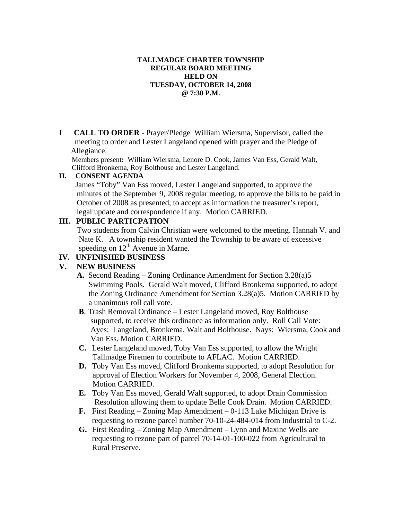# **TALLMADGE CHARTER TOWNSHIP REGULAR BOARD MEETING HELD ON TUESDAY, OCTOBER 14, 2008 @ 7:30 P.M.**

**I CALL TO ORDER** - Prayer/Pledge William Wiersma, Supervisor, called the meeting to order and Lester Langeland opened with prayer and the Pledge of Allegiance.

Members present**:** William Wiersma, Lenore D. Cook, James Van Ess, Gerald Walt, Clifford Bronkema, Roy Bolthouse and Lester Langeland.

# **II. CONSENT AGENDA**

 James "Toby" Van Ess moved, Lester Langeland supported, to approve the minutes of the September 9, 2008 regular meeting, to approve the bills to be paid in October of 2008 as presented, to accept as information the treasurer's report, legal update and correspondence if any. Motion CARRIED.

# **III. PUBLIC PARTICPATION**

 Two students from Calvin Christian were welcomed to the meeting. Hannah V. and Nate K. A township resident wanted the Township to be aware of excessive speeding on  $12<sup>th</sup>$  Avenue in Marne.

# **IV. UNFINISHED BUSINESS**

# **V. NEW BUSINESS**

- **A.** Second Reading Zoning Ordinance Amendment for Section 3.28(a)5 Swimming Pools. Gerald Walt moved, Clifford Bronkema supported, to adopt the Zoning Ordinance Amendment for Section 3.28(a)5. Motion CARRIED by a unanimous roll call vote.
- **B**. Trash Removal Ordinance Lester Langeland moved, Roy Bolthouse supported, to receive this ordinance as information only. Roll Call Vote: Ayes: Langeland, Bronkema, Walt and Bolthouse. Nays: Wiersma, Cook and Van Ess. Motion CARRIED.
- **C.** Lester Langeland moved, Toby Van Ess supported, to allow the Wright Tallmadge Firemen to contribute to AFLAC. Motion CARRIED.
- **D.** Toby Van Ess moved, Clifford Bronkema supported, to adopt Resolution for approval of Election Workers for November 4, 2008, General Election. Motion CARRIED.
- **E.** Toby Van Ess moved, Gerald Walt supported, to adopt Drain Commission Resolution allowing them to update Belle Cook Drain. Motion CARRIED.
- **F.** First Reading Zoning Map Amendment 0-113 Lake Michigan Drive is requesting to rezone parcel number 70-10-24-484-014 from Industrial to C-2.
- **G.** First Reading Zoning Map Amendment Lynn and Maxine Wells are requesting to rezone part of parcel 70-14-01-100-022 from Agricultural to Rural Preserve.